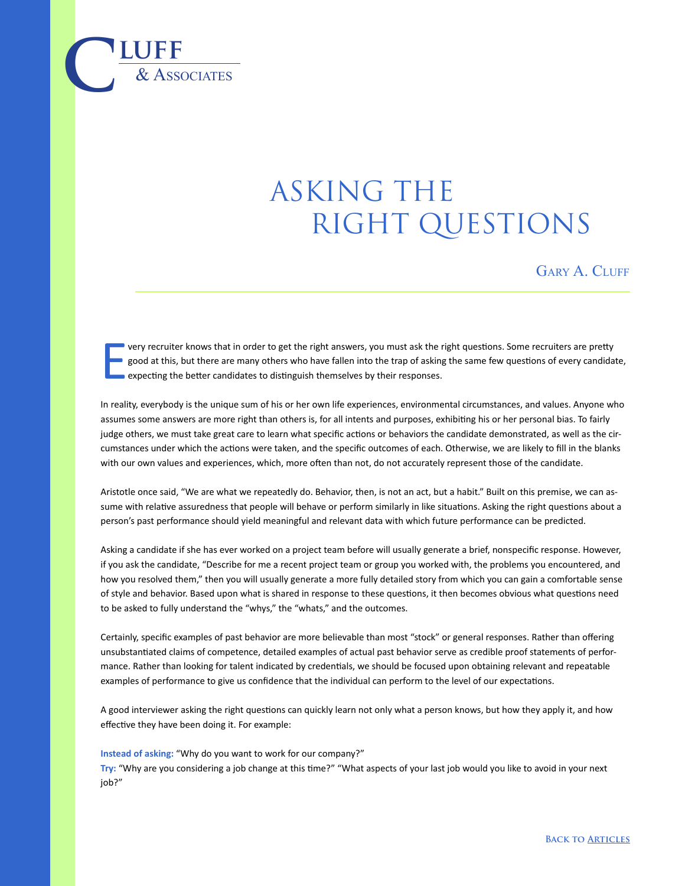## ASKING THE RIGHT QUESTIONS

GARY A. CLUFF

E very recruiter knows that in order to get the right answers, you must ask the right questions. Some recruiters are pretty good at this, but there are many others who have fallen into the trap of asking the same few questions of every candidate, **expecting the better candidates to distinguish themselves by their responses.** 

In reality, everybody is the unique sum of his or her own life experiences, environmental circumstances, and values. Anyone who assumes some answers are more right than others is, for all intents and purposes, exhibiting his or her personal bias. To fairly judge others, we must take great care to learn what specific actions or behaviors the candidate demonstrated, as well as the circumstances under which the actions were taken, and the specific outcomes of each. Otherwise, we are likely to fill in the blanks with our own values and experiences, which, more often than not, do not accurately represent those of the candidate.

Aristotle once said, "We are what we repeatedly do. Behavior, then, is not an act, but a habit." Built on this premise, we can assume with relative assuredness that people will behave or perform similarly in like situations. Asking the right questions about a person's past performance should yield meaningful and relevant data with which future performance can be predicted.

Asking a candidate if she has ever worked on a project team before will usually generate a brief, nonspecific response. However, if you ask the candidate, "Describe for me a recent project team or group you worked with, the problems you encountered, and how you resolved them," then you will usually generate a more fully detailed story from which you can gain a comfortable sense of style and behavior. Based upon what is shared in response to these questions, it then becomes obvious what questions need to be asked to fully understand the "whys," the "whats," and the outcomes.

Certainly, specific examples of past behavior are more believable than most "stock" or general responses. Rather than offering unsubstantiated claims of competence, detailed examples of actual past behavior serve as credible proof statements of performance. Rather than looking for talent indicated by credentials, we should be focused upon obtaining relevant and repeatable examples of performance to give us confidence that the individual can perform to the level of our expectations.

A good interviewer asking the right questions can quickly learn not only what a person knows, but how they apply it, and how effective they have been doing it. For example:

**Instead of asking:** "Why do you want to work for our company?"

 $\overline{\text{LUFF}}$  **luff** 

**Try:** "Why are you considering a job change at this time?" "What aspects of your last job would you like to avoid in your next job?"